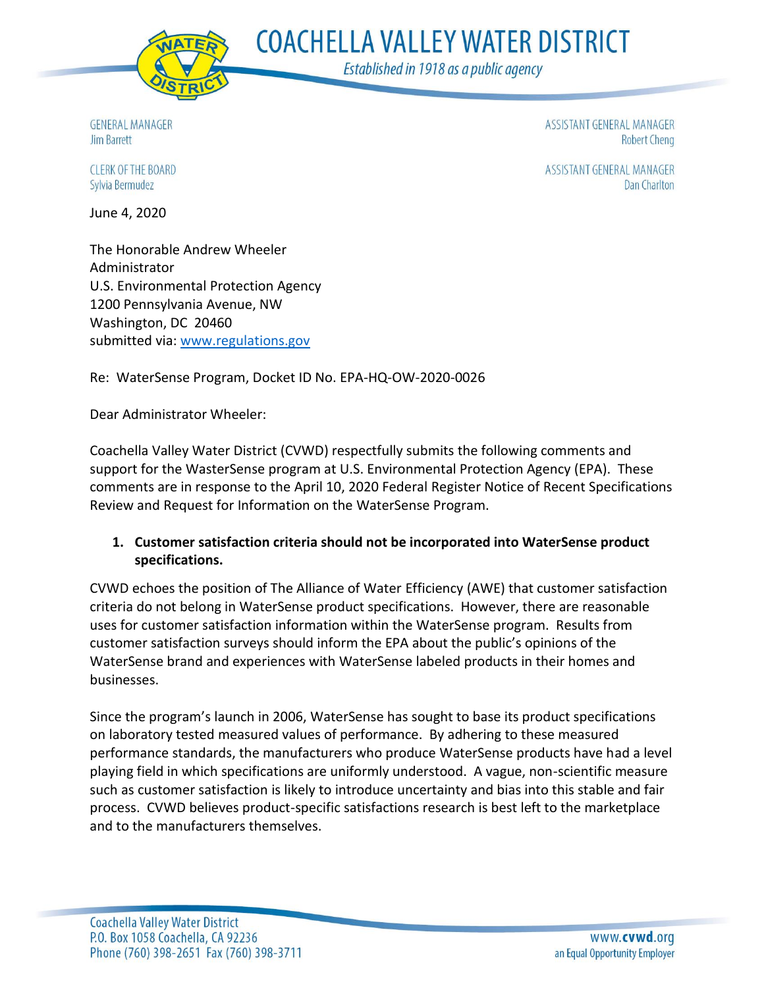

**COACHELLA VALLEY WATER DISTRICT** 

Established in 1918 as a public agency

**GENERAL MANAGER Jim Barrett** 

ASSISTANT GENERAL MANAGER **Robert Cheng** 

ASSISTANT GENERAL MANAGER Dan Charlton

CLERK OF THE BOARD Sylvia Bermudez

June 4, 2020

The Honorable Andrew Wheeler Administrator U.S. Environmental Protection Agency 1200 Pennsylvania Avenue, NW Washington, DC 20460 submitted via: [www.regulations.gov](https://www.regulations.gov/)

Re: WaterSense Program, Docket ID No. EPA-HQ-OW-2020-0026

Dear Administrator Wheeler:

Coachella Valley Water District (CVWD) respectfully submits the following comments and support for the WasterSense program at U.S. Environmental Protection Agency (EPA). These comments are in response to the April 10, 2020 Federal Register Notice of Recent Specifications Review and Request for Information on the WaterSense Program.

## **1. Customer satisfaction criteria should not be incorporated into WaterSense product specifications.**

CVWD echoes the position of The Alliance of Water Efficiency (AWE) that customer satisfaction criteria do not belong in WaterSense product specifications. However, there are reasonable uses for customer satisfaction information within the WaterSense program. Results from customer satisfaction surveys should inform the EPA about the public's opinions of the WaterSense brand and experiences with WaterSense labeled products in their homes and businesses.

Since the program's launch in 2006, WaterSense has sought to base its product specifications on laboratory tested measured values of performance. By adhering to these measured performance standards, the manufacturers who produce WaterSense products have had a level playing field in which specifications are uniformly understood. A vague, non-scientific measure such as customer satisfaction is likely to introduce uncertainty and bias into this stable and fair process. CVWD believes product-specific satisfactions research is best left to the marketplace and to the manufacturers themselves.